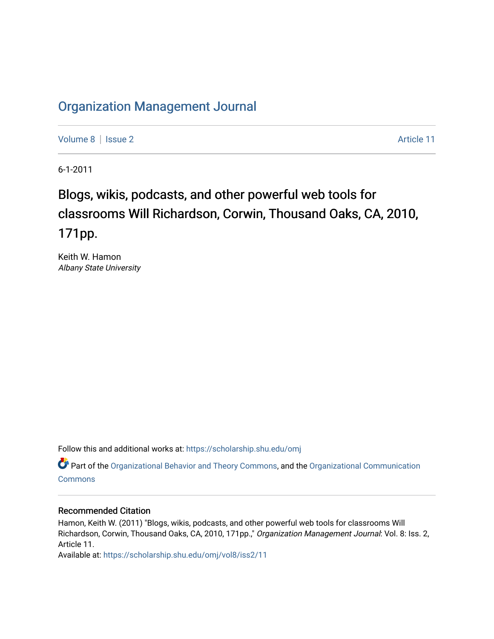### [Organization Management Journal](https://scholarship.shu.edu/omj)

[Volume 8](https://scholarship.shu.edu/omj/vol8) | [Issue 2](https://scholarship.shu.edu/omj/vol8/iss2) Article 11

6-1-2011

## Blogs, wikis, podcasts, and other powerful web tools for classrooms Will Richardson, Corwin, Thousand Oaks, CA, 2010, 171pp.

Keith W. Hamon Albany State University

Follow this and additional works at: [https://scholarship.shu.edu/omj](https://scholarship.shu.edu/omj?utm_source=scholarship.shu.edu%2Fomj%2Fvol8%2Fiss2%2F11&utm_medium=PDF&utm_campaign=PDFCoverPages) 

Part of the [Organizational Behavior and Theory Commons,](http://network.bepress.com/hgg/discipline/639?utm_source=scholarship.shu.edu%2Fomj%2Fvol8%2Fiss2%2F11&utm_medium=PDF&utm_campaign=PDFCoverPages) and the [Organizational Communication](http://network.bepress.com/hgg/discipline/335?utm_source=scholarship.shu.edu%2Fomj%2Fvol8%2Fiss2%2F11&utm_medium=PDF&utm_campaign=PDFCoverPages) **[Commons](http://network.bepress.com/hgg/discipline/335?utm_source=scholarship.shu.edu%2Fomj%2Fvol8%2Fiss2%2F11&utm_medium=PDF&utm_campaign=PDFCoverPages)** 

#### Recommended Citation

Hamon, Keith W. (2011) "Blogs, wikis, podcasts, and other powerful web tools for classrooms Will Richardson, Corwin, Thousand Oaks, CA, 2010, 171pp.," Organization Management Journal: Vol. 8: Iss. 2, Article 11.

Available at: [https://scholarship.shu.edu/omj/vol8/iss2/11](https://scholarship.shu.edu/omj/vol8/iss2/11?utm_source=scholarship.shu.edu%2Fomj%2Fvol8%2Fiss2%2F11&utm_medium=PDF&utm_campaign=PDFCoverPages)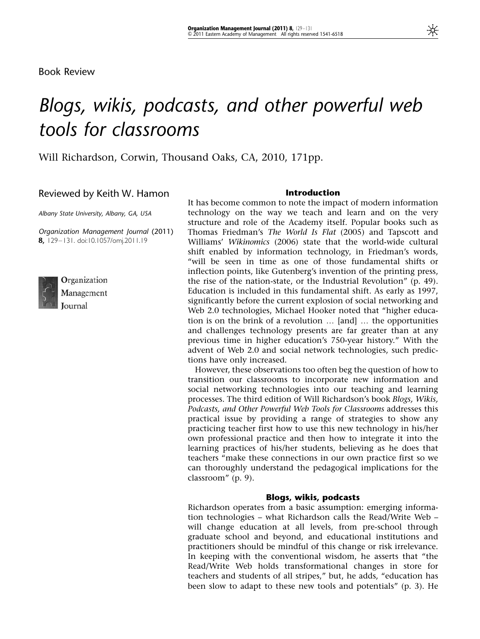Book Review

# Blogs, wikis, podcasts, and other powerful web tools for classrooms

Will Richardson, Corwin, Thousand Oaks, CA, 2010, 171pp.

#### Reviewed by Keith W. Hamon

Albany State University, Albany, GA, USA

Organization Management Journal (2011) 8, 129–131. doi:10.1057/omj.2011.19



Organization Management Journal

#### Introduction

It has become common to note the impact of modern information technology on the way we teach and learn and on the very structure and role of the Academy itself. Popular books such as Thomas Friedman's The World Is Flat (2005) and Tapscott and Williams' Wikinomics (2006) state that the world-wide cultural shift enabled by information technology, in Friedman's words, "will be seen in time as one of those fundamental shifts or inflection points, like Gutenberg's invention of the printing press, the rise of the nation-state, or the Industrial Revolution" (p. 49). Education is included in this fundamental shift. As early as 1997, significantly before the current explosion of social networking and Web 2.0 technologies, Michael Hooker noted that "higher education is on the brink of a revolution  $\ldots$  [and]  $\ldots$  the opportunities and challenges technology presents are far greater than at any previous time in higher education's 750-year history." With the advent of Web 2.0 and social network technologies, such predictions have only increased.

However, these observations too often beg the question of how to transition our classrooms to incorporate new information and social networking technologies into our teaching and learning processes. The third edition of Will Richardson's book Blogs, Wikis, Podcasts, and Other Powerful Web Tools for Classrooms addresses this practical issue by providing a range of strategies to show any practicing teacher first how to use this new technology in his/her own professional practice and then how to integrate it into the learning practices of his/her students, believing as he does that teachers "make these connections in our own practice first so we can thoroughly understand the pedagogical implications for the classroom" (p. 9).

#### Blogs, wikis, podcasts

Richardson operates from a basic assumption: emerging information technologies – what Richardson calls the Read/Write Web – will change education at all levels, from pre-school through graduate school and beyond, and educational institutions and practitioners should be mindful of this change or risk irrelevance. In keeping with the conventional wisdom, he asserts that "the Read/Write Web holds transformational changes in store for teachers and students of all stripes," but, he adds, "education has been slow to adapt to these new tools and potentials" (p. 3). He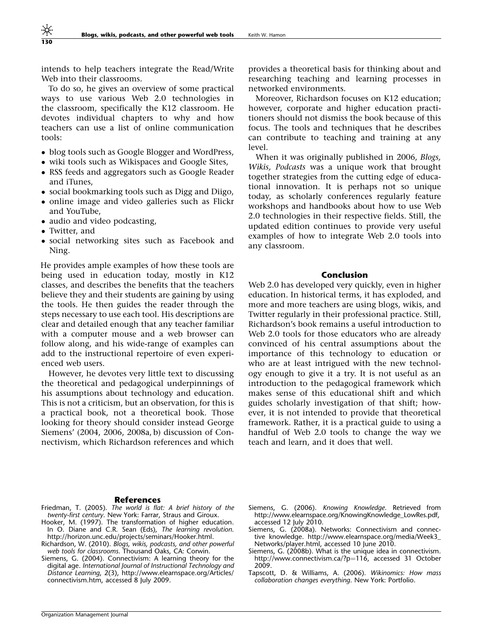intends to help teachers integrate the Read/Write Web into their classrooms.

To do so, he gives an overview of some practical ways to use various Web 2.0 technologies in the classroom, specifically the K12 classroom. He devotes individual chapters to why and how teachers can use a list of online communication tools:

- blog tools such as Google Blogger and WordPress,
- wiki tools such as Wikispaces and Google Sites,
- RSS feeds and aggregators such as Google Reader and iTunes,
- social bookmarking tools such as Digg and Diigo,
- online image and video galleries such as Flickr and YouTube,
- audio and video podcasting,
- $\bullet$  Twitter, and

130

- social networking sites such as Facebook and Ning.

He provides ample examples of how these tools are being used in education today, mostly in K12 classes, and describes the benefits that the teachers believe they and their students are gaining by using the tools. He then guides the reader through the steps necessary to use each tool. His descriptions are clear and detailed enough that any teacher familiar with a computer mouse and a web browser can follow along, and his wide-range of examples can add to the instructional repertoire of even experienced web users.

However, he devotes very little text to discussing the theoretical and pedagogical underpinnings of his assumptions about technology and education. This is not a criticism, but an observation, for this is a practical book, not a theoretical book. Those looking for theory should consider instead George Siemens' (2004, 2006, 2008a, b) discussion of Connectivism, which Richardson references and which provides a theoretical basis for thinking about and researching teaching and learning processes in networked environments.

Moreover, Richardson focuses on K12 education; however, corporate and higher education practitioners should not dismiss the book because of this focus. The tools and techniques that he describes can contribute to teaching and training at any level.

When it was originally published in 2006, Blogs, Wikis, Podcasts was a unique work that brought together strategies from the cutting edge of educational innovation. It is perhaps not so unique today, as scholarly conferences regularly feature workshops and handbooks about how to use Web 2.0 technologies in their respective fields. Still, the updated edition continues to provide very useful examples of how to integrate Web 2.0 tools into any classroom.

#### Conclusion

Web 2.0 has developed very quickly, even in higher education. In historical terms, it has exploded, and more and more teachers are using blogs, wikis, and Twitter regularly in their professional practice. Still, Richardson's book remains a useful introduction to Web 2.0 tools for those educators who are already convinced of his central assumptions about the importance of this technology to education or who are at least intrigued with the new technology enough to give it a try. It is not useful as an introduction to the pedagogical framework which makes sense of this educational shift and which guides scholarly investigation of that shift; however, it is not intended to provide that theoretical framework. Rather, it is a practical guide to using a handful of Web 2.0 tools to change the way we teach and learn, and it does that well.

#### References

- Friedman, T. (2005). The world is flat: A brief history of the twenty-first century. New York: Farrar, Straus and Giroux.
- Hooker, M. (1997). The transformation of higher education. In O. Diane and C.R. Sean (Eds), The learning revolution. http://horizon.unc.edu/projects/seminars/Hooker.html.
- Richardson, W. (2010). Blogs, wikis, podcasts, and other powerful web tools for classrooms. Thousand Oaks, CA: Corwin.
- Siemens, G. (2004). Connectivism: A learning theory for the digital age. International Journal of Instructional Technology and Distance Learning, 2(3), http://www.elearnspace.org/Articles/ connectivism.htm, accessed 8 July 2009.
- Siemens, G. (2006). Knowing Knowledge. Retrieved from http://www.elearnspace.org/KnowingKnowledge\_LowRes.pdf, accessed 12 July 2010.
- Siemens, G. (2008a). Networks: Connectivism and connective knowledge. http://www.elearnspace.org/media/Week3\_ Networks/player.html, accessed 10 June 2010.
- Siemens, G. (2008b). What is the unique idea in connectivism. http://www.connectivism.ca/?p=116, accessed 31 October 2009.
- Tapscott, D. & Williams, A. (2006). Wikinomics: How mass collaboration changes everything. New York: Portfolio.